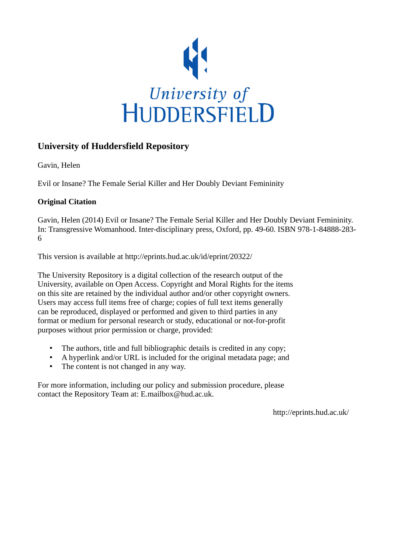

# **University of Huddersfield Repository**

Gavin, Helen

Evil or Insane? The Female Serial Killer and Her Doubly Deviant Femininity

## **Original Citation**

Gavin, Helen (2014) Evil or Insane? The Female Serial Killer and Her Doubly Deviant Femininity. In: Transgressive Womanhood. Inter-disciplinary press, Oxford, pp. 49-60. ISBN 978-1-84888-283- 6

This version is available at http://eprints.hud.ac.uk/id/eprint/20322/

The University Repository is a digital collection of the research output of the University, available on Open Access. Copyright and Moral Rights for the items on this site are retained by the individual author and/or other copyright owners. Users may access full items free of charge; copies of full text items generally can be reproduced, displayed or performed and given to third parties in any format or medium for personal research or study, educational or not-for-profit purposes without prior permission or charge, provided:

- The authors, title and full bibliographic details is credited in any copy;
- A hyperlink and/or URL is included for the original metadata page; and
- The content is not changed in any way.

For more information, including our policy and submission procedure, please contact the Repository Team at: E.mailbox@hud.ac.uk.

http://eprints.hud.ac.uk/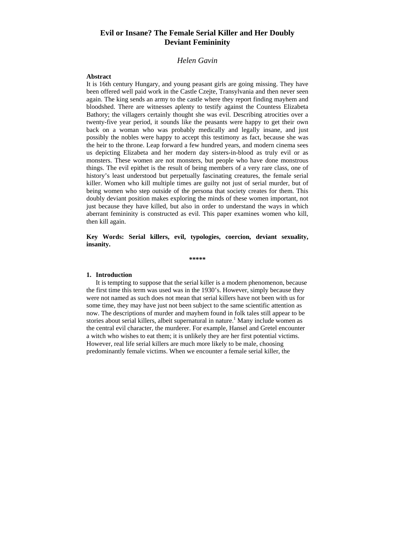## **Evil or Insane? The Female Serial Killer and Her Doubly Deviant Femininity**

### *Helen Gavin*

### **Abstract**

It is 16th century Hungary, and young peasant girls are going missing. They have been offered well paid work in the Castle Czejte. Transylvania and then never seen again. The king sends an army to the castle where they report finding mayhem and bloodshed. There are witnesses aplenty to testify against the Countess Elizabeta Bathory; the villagers certainly thought she was evil. Describing atrocities over a twenty-five year period, it sounds like the peasants were happy to get their own back on a woman who was probably medically and legally insane, and just possibly the nobles were happy to accept this testimony as fact, because she was the heir to the throne. Leap forward a few hundred years, and modern cinema sees us depicting Elizabeta and her modern day sisters-in-blood as truly evil or as monsters. These women are not monsters, but people who have done monstrous things. The evil epithet is the result of being members of a very rare class, one of history's least understood but perpetually fascinating creatures, the female serial killer. Women who kill multiple times are guilty not just of serial murder, but of being women who step outside of the persona that society creates for them. This doubly deviant position makes exploring the minds of these women important, not just because they have killed, but also in order to understand the ways in which aberrant femininity is constructed as evil. This paper examines women who kill, then kill again.

**Key Words: Serial killers, evil, typologies, coercion, deviant sexuality, insanity.** 

**\*\*\*\*\*** 

#### **1. Introduction**

It is tempting to suppose that the serial killer is a modern phenomenon, because the first time this term was used was in the 1930's. However, simply because they were not named as such does not mean that serial killers have not been with us for some time, they may have just not been subject to the same scientific attention as now. The descriptions of murder and mayhem found in folk tales still appear to be stories about serial killers, albeit supernatural in nature.<sup>1</sup> Many include women as the central evil character, the murderer. For example, Hansel and Gretel encounter a witch who wishes to eat them; it is unlikely they are her first potential victims. However, real life serial killers are much more likely to be male, choosing predominantly female victims. When we encounter a female serial killer, the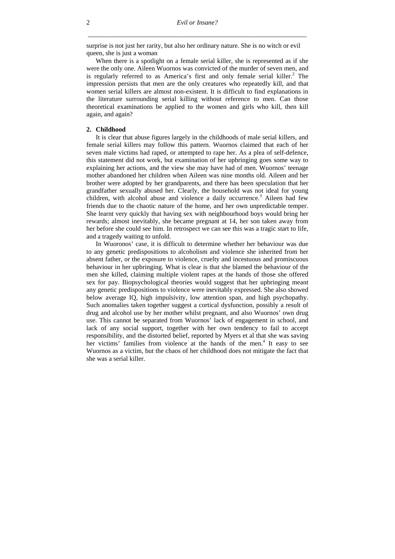surprise is not just her rarity, but also her ordinary nature. She is no witch or evil queen, she is just a woman

 When there is a spotlight on a female serial killer, she is represented as if she were the only one. Aileen Wuornos was convicted of the murder of seven men, and is regularly referred to as America's first and only female serial killer.<sup>2</sup> The impression persists that men are the only creatures who repeatedly kill, and that women serial killers are almost non-existent. It is difficult to find explanations in the literature surrounding serial killing without reference to men. Can those theoretical examinations be applied to the women and girls who kill, then kill again, and again?

### **2. Childhood**

 It is clear that abuse figures largely in the childhoods of male serial killers, and female serial killers may follow this pattern. Wuornos claimed that each of her seven male victims had raped, or attempted to rape her. As a plea of self-defence, this statement did not work, but examination of her upbringing goes some way to explaining her actions, and the view she may have had of men. Wuornos' teenage mother abandoned her children when Aileen was nine months old. Aileen and her brother were adopted by her grandparents, and there has been speculation that her grandfather sexually abused her. Clearly, the household was not ideal for young children, with alcohol abuse and violence a daily occurrence.<sup>3</sup> Aileen had few friends due to the chaotic nature of the home, and her own unpredictable temper. She learnt very quickly that having sex with neighbourhood boys would bring her rewards; almost inevitably, she became pregnant at 14, her son taken away from her before she could see him. In retrospect we can see this was a tragic start to life, and a tragedy waiting to unfold.

 In Wuoronos' case, it is difficult to determine whether her behaviour was due to any genetic predispositions to alcoholism and violence she inherited from her absent father, or the exposure to violence, cruelty and incestuous and promiscuous behaviour in her upbringing. What is clear is that she blamed the behaviour of the men she killed, claiming multiple violent rapes at the hands of those she offered sex for pay. Biopsychological theories would suggest that her upbringing meant any genetic predispositions to violence were inevitably expressed. She also showed below average IQ, high impulsivity, low attention span, and high psychopathy. Such anomalies taken together suggest a cortical dysfunction, possibly a result of drug and alcohol use by her mother whilst pregnant, and also Wuornos' own drug use. This cannot be separated from Wuornos' lack of engagement in school, and lack of any social support, together with her own tendency to fail to accept responsibility, and the distorted belief, reported by Myers et al that she was saving her victims' families from violence at the hands of the men.<sup>4</sup> It easy to see Wuornos as a victim, but the chaos of her childhood does not mitigate the fact that she was a serial killer.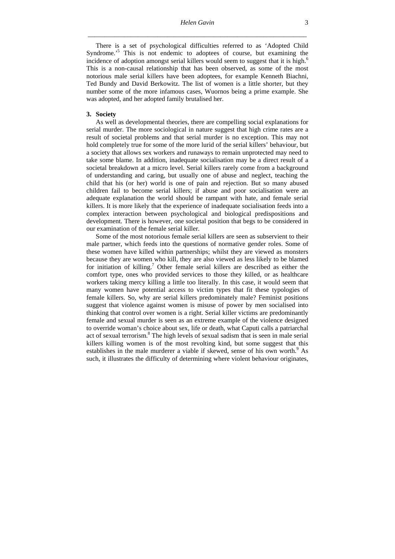## *Helen Gavin \_\_\_\_\_\_\_\_\_\_\_\_\_\_\_\_\_\_\_\_\_\_\_\_\_\_\_\_\_\_\_\_\_\_\_\_\_\_\_\_\_\_\_\_\_\_\_\_\_\_\_\_\_\_\_\_\_\_\_\_\_\_\_\_\_\_*

 There is a set of psychological difficulties referred to as 'Adopted Child Syndrome.<sup>5</sup> This is not endemic to adoptees of course, but examining the incidence of adoption amongst serial killers would seem to suggest that it is high.<sup>6</sup> This is a non-causal relationship that has been observed, as some of the most notorious male serial killers have been adoptees, for example Kenneth Biachni, Ted Bundy and David Berkowitz. The list of women is a little shorter, but they number some of the more infamous cases, Wuornos being a prime example. She was adopted, and her adopted family brutalised her.

#### **3. Society**

 As well as developmental theories, there are compelling social explanations for serial murder. The more sociological in nature suggest that high crime rates are a result of societal problems and that serial murder is no exception. This may not hold completely true for some of the more lurid of the serial killers' behaviour, but a society that allows sex workers and runaways to remain unprotected may need to take some blame. In addition, inadequate socialisation may be a direct result of a societal breakdown at a micro level. Serial killers rarely come from a background of understanding and caring, but usually one of abuse and neglect, teaching the child that his (or her) world is one of pain and rejection. But so many abused children fail to become serial killers; if abuse and poor socialisation were an adequate explanation the world should be rampant with hate, and female serial killers. It is more likely that the experience of inadequate socialisation feeds into a complex interaction between psychological and biological predispositions and development. There is however, one societal position that begs to be considered in our examination of the female serial killer.

 Some of the most notorious female serial killers are seen as subservient to their male partner, which feeds into the questions of normative gender roles. Some of these women have killed within partnerships; whilst they are viewed as monsters because they are women who kill, they are also viewed as less likely to be blamed for initiation of killing.<sup>7</sup> Other female serial killers are described as either the comfort type, ones who provided services to those they killed, or as healthcare workers taking mercy killing a little too literally. In this case, it would seem that many women have potential access to victim types that fit these typologies of female killers. So, why are serial killers predominately male? Feminist positions suggest that violence against women is misuse of power by men socialised into thinking that control over women is a right. Serial killer victims are predominantly female and sexual murder is seen as an extreme example of the violence designed to override woman's choice about sex, life or death, what Caputi calls a patriarchal act of sexual terrorism.<sup>8</sup> The high levels of sexual sadism that is seen in male serial killers killing women is of the most revolting kind, but some suggest that this establishes in the male murderer a viable if skewed, sense of his own worth.<sup>9</sup> As such, it illustrates the difficulty of determining where violent behaviour originates,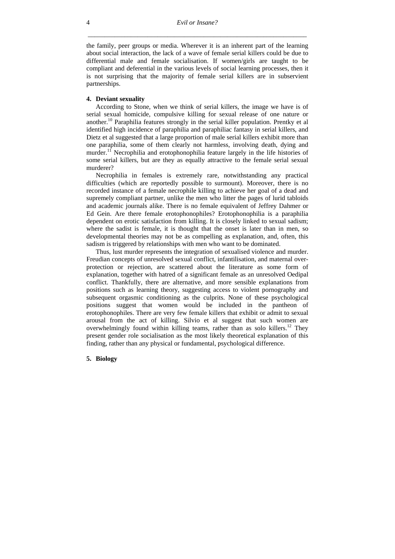the family, peer groups or media. Wherever it is an inherent part of the learning about social interaction, the lack of a wave of female serial killers could be due to differential male and female socialisation. If women/girls are taught to be compliant and deferential in the various levels of social learning processes, then it is not surprising that the majority of female serial killers are in subservient partnerships.

### **4. Deviant sexuality**

 According to Stone, when we think of serial killers, the image we have is of serial sexual homicide, compulsive killing for sexual release of one nature or another.10 Paraphilia features strongly in the serial killer population. Prentky et al identified high incidence of paraphilia and paraphiliac fantasy in serial killers, and Dietz et al suggested that a large proportion of male serial killers exhibit more than one paraphilia, some of them clearly not harmless, involving death, dying and murder.<sup>11</sup> Necrophilia and erotophonophilia feature largely in the life histories of some serial killers, but are they as equally attractive to the female serial sexual murderer?

 Necrophilia in females is extremely rare, notwithstanding any practical difficulties (which are reportedly possible to surmount). Moreover, there is no recorded instance of a female necrophile killing to achieve her goal of a dead and supremely compliant partner, unlike the men who litter the pages of lurid tabloids and academic journals alike. There is no female equivalent of Jeffrey Dahmer or Ed Gein. Are there female erotophonophiles? Erotophonophilia is a paraphilia dependent on erotic satisfaction from killing. It is closely linked to sexual sadism; where the sadist is female, it is thought that the onset is later than in men, so developmental theories may not be as compelling as explanation, and, often, this sadism is triggered by relationships with men who want to be dominated.

 Thus, lust murder represents the integration of sexualised violence and murder. Freudian concepts of unresolved sexual conflict, infantilisation, and maternal overprotection or rejection, are scattered about the literature as some form of explanation, together with hatred of a significant female as an unresolved Oedipal conflict. Thankfully, there are alternative, and more sensible explanations from positions such as learning theory, suggesting access to violent pornography and subsequent orgasmic conditioning as the culprits. None of these psychological positions suggest that women would be included in the pantheon of erotophonophiles. There are very few female killers that exhibit or admit to sexual arousal from the act of killing. Silvio et al suggest that such women are overwhelmingly found within killing teams, rather than as solo killers.<sup>12</sup> They present gender role socialisation as the most likely theoretical explanation of this finding, rather than any physical or fundamental, psychological difference.

### **5. Biology**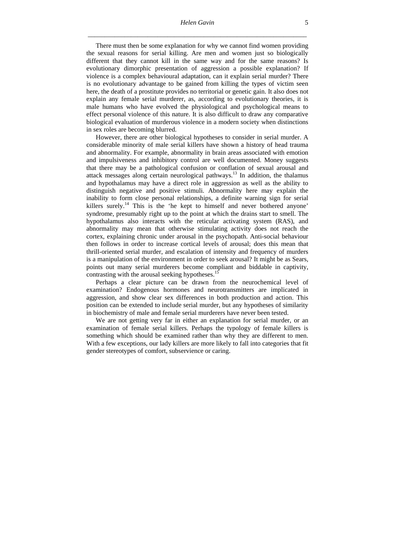## *Helen Gavin \_\_\_\_\_\_\_\_\_\_\_\_\_\_\_\_\_\_\_\_\_\_\_\_\_\_\_\_\_\_\_\_\_\_\_\_\_\_\_\_\_\_\_\_\_\_\_\_\_\_\_\_\_\_\_\_\_\_\_\_\_\_\_\_\_\_*

There must then be some explanation for why we cannot find women providing the sexual reasons for serial killing. Are men and women just so biologically different that they cannot kill in the same way and for the same reasons? Is evolutionary dimorphic presentation of aggression a possible explanation? If violence is a complex behavioural adaptation, can it explain serial murder? There is no evolutionary advantage to be gained from killing the types of victim seen here, the death of a prostitute provides no territorial or genetic gain. It also does not explain any female serial murderer, as, according to evolutionary theories, it is male humans who have evolved the physiological and psychological means to effect personal violence of this nature. It is also difficult to draw any comparative biological evaluation of murderous violence in a modern society when distinctions in sex roles are becoming blurred.

However, there are other biological hypotheses to consider in serial murder. A considerable minority of male serial killers have shown a history of head trauma and abnormality. For example, abnormality in brain areas associated with emotion and impulsiveness and inhibitory control are well documented. Money suggests that there may be a pathological confusion or conflation of sexual arousal and attack messages along certain neurological pathways.<sup>13</sup> In addition, the thalamus and hypothalamus may have a direct role in aggression as well as the ability to distinguish negative and positive stimuli. Abnormality here may explain the inability to form close personal relationships, a definite warning sign for serial killers surely.<sup>14</sup> This is the 'he kept to himself and never bothered anyone' syndrome, presumably right up to the point at which the drains start to smell. The hypothalamus also interacts with the reticular activating system (RAS), and abnormality may mean that otherwise stimulating activity does not reach the cortex, explaining chronic under arousal in the psychopath. Anti-social behaviour then follows in order to increase cortical levels of arousal; does this mean that thrill-oriented serial murder, and escalation of intensity and frequency of murders is a manipulation of the environment in order to seek arousal? It might be as Sears, points out many serial murderers become compliant and biddable in captivity, contrasting with the arousal seeking hypotheses.<sup>15</sup>

Perhaps a clear picture can be drawn from the neurochemical level of examination? Endogenous hormones and neurotransmitters are implicated in aggression, and show clear sex differences in both production and action. This position can be extended to include serial murder, but any hypotheses of similarity in biochemistry of male and female serial murderers have never been tested.

We are not getting very far in either an explanation for serial murder, or an examination of female serial killers. Perhaps the typology of female killers is something which should be examined rather than why they are different to men. With a few exceptions, our lady killers are more likely to fall into categories that fit gender stereotypes of comfort, subservience or caring.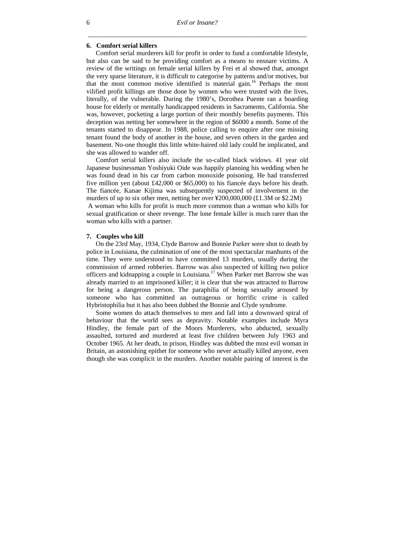#### **6. Comfort serial killers**

Comfort serial murderers kill for profit in order to fund a comfortable lifestyle, but also can be said to be providing comfort as a means to ensnare victims. A review of the writings on female serial killers by Frei et al showed that, amongst the very sparse literature, it is difficult to categorise by patterns and/or motives, but that the most common motive identified is material gain.<sup>16</sup> Perhaps the most vilified profit killings are those done by women who were trusted with the lives, literally, of the vulnerable. During the 1980's, Dorothea Puente ran a boarding house for elderly or mentally handicapped residents in Sacramento, California. She was, however, pocketing a large portion of their monthly benefits payments. This deception was netting her somewhere in the region of \$6000 a month. Some of the tenants started to disappear. In 1988, police calling to enquire after one missing tenant found the body of another in the house, and seven others in the garden and basement. No-one thought this little white-haired old lady could be implicated, and she was allowed to wander off.

 Comfort serial killers also include the so-called black widows. 41 year old Japanese businessman Yoshiyuki Oide was happily planning his wedding when he was found dead in his car from carbon monoxide poisoning. He had transferred five million yen (about £42,000 or \$65,000) to his fiancée days before his death. The fiancée, Kanae Kijima was subsequently suspected of involvement in the murders of up to six other men, netting her over ¥200,000,000 (£1.3M or \$2.2M) A woman who kills for profit is much more common than a woman who kills for

sexual gratification or sheer revenge. The lone female killer is much rarer than the woman who kills with a partner.

#### **7. Couples who kill**

On the 23rd May, 1934, Clyde Barrow and Bonnie Parker were shot to death by police in Louisiana, the culmination of one of the most spectacular manhunts of the time. They were understood to have committed 13 murders, usually during the commission of armed robberies. Barrow was also suspected of killing two police officers and kidnapping a couple in Louisiana.17 When Parker met Barrow she was already married to an imprisoned killer; it is clear that she was attracted to Barrow for being a dangerous person. The paraphilia of being sexually aroused by someone who has committed an outrageous or horrific crime is called Hybristophilia but it has also been dubbed the Bonnie and Clyde syndrome.

Some women do attach themselves to men and fall into a downward spiral of behaviour that the world sees as depravity. Notable examples include Myra Hindley, the female part of the Moors Murderers, who abducted, sexually assaulted, tortured and murdered at least five children between July 1963 and October 1965. At her death, in prison, Hindley was dubbed the most evil woman in Britain, an astonishing epithet for someone who never actually killed anyone, even though she was complicit in the murders. Another notable pairing of interest is the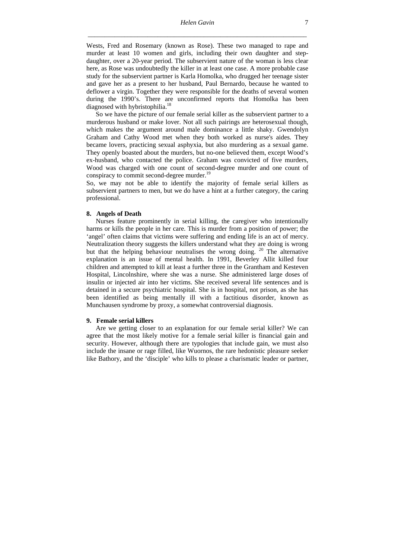Wests, Fred and Rosemary (known as Rose). These two managed to rape and murder at least 10 women and girls, including their own daughter and stepdaughter, over a 20-year period. The subservient nature of the woman is less clear here, as Rose was undoubtedly the killer in at least one case. A more probable case study for the subservient partner is Karla Homolka, who drugged her teenage sister and gave her as a present to her husband, Paul Bernardo, because he wanted to deflower a virgin. Together they were responsible for the deaths of several women during the 1990's. There are unconfirmed reports that Homolka has been diagnosed with hybristophilia.<sup>18</sup>

So we have the picture of our female serial killer as the subservient partner to a murderous husband or make lover. Not all such pairings are heterosexual though, which makes the argument around male dominance a little shaky. Gwendolyn Graham and Cathy Wood met when they both worked as nurse's aides. They became lovers, practicing sexual asphyxia, but also murdering as a sexual game. They openly boasted about the murders, but no-one believed them, except Wood's ex-husband, who contacted the police. Graham was convicted of five murders, Wood was charged with one count of second-degree murder and one count of conspiracy to commit second-degree murder.<sup>19</sup>

So, we may not be able to identify the majority of female serial killers as subservient partners to men, but we do have a hint at a further category, the caring professional.

#### **8. Angels of Death**

Nurses feature prominently in serial killing, the caregiver who intentionally harms or kills the people in her care. This is murder from a position of power; the 'angel' often claims that victims were suffering and ending life is an act of mercy. Neutralization theory suggests the killers understand what they are doing is wrong but that the helping behaviour neutralises the wrong doing. <sup>20</sup> The alternative explanation is an issue of mental health. In 1991, Beverley Allit killed four children and attempted to kill at least a further three in the Grantham and Kesteven Hospital, Lincolnshire, where she was a nurse. She administered large doses of insulin or injected air into her victims. She received several life sentences and is detained in a secure psychiatric hospital. She is in hospital, not prison, as she has been identified as being mentally ill with a factitious disorder, known as Munchausen syndrome by proxy, a somewhat controversial diagnosis.

#### **9. Female serial killers**

Are we getting closer to an explanation for our female serial killer? We can agree that the most likely motive for a female serial killer is financial gain and security. However, although there are typologies that include gain, we must also include the insane or rage filled, like Wuornos, the rare hedonistic pleasure seeker like Bathory, and the 'disciple' who kills to please a charismatic leader or partner,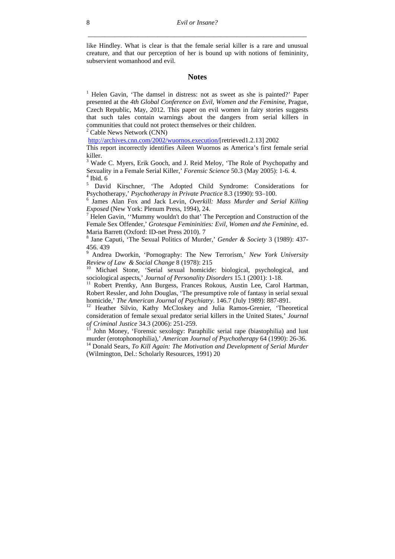like Hindley. What is clear is that the female serial killer is a rare and unusual creature, and that our perception of her is bound up with notions of femininity, subservient womanhood and evil.

## **Notes**

<sup>1</sup> Helen Gavin, 'The damsel in distress: not as sweet as she is painted?' Paper presented at the *4th Global Conference on Evil, Women and the Feminine*, Prague, Czech Republic, May, 2012. This paper on evil women in fairy stories suggests that such tales contain warnings about the dangers from serial killers in communities that could not protect themselves or their children.

<sup>2</sup> Cable News Network (CNN)

http://archives.cnn.com/2002/wuornos.execution/[retrieved1.2.13] 2002

This report incorrectly identifies Aileen Wuornos as America's first female serial killer.

<sup>3</sup> Wade C. Myers, Erik Gooch, and J. Reid Meloy, 'The Role of Psychopathy and Sexuality in a Female Serial Killer,' *Forensic Science* 50.3 (May 2005): 1-6. 4. 4 Ibid. 6

5 David Kirschner, 'The Adopted Child Syndrome: Considerations for Psychotherapy,' *Psychotherapy in Private Practice* 8.3 (1990): 93–100.

 James Alan Fox and Jack Levin, *Overkill: Mass Murder and Serial Killing Exposed* (New York: Plenum Press, 1994), 24.

 $^7$  Helen Gavin, "Mummy wouldn't do that' The Perception and Construction of the Female Sex Offender,' *Grotesque Femininities: Evil, Women and the Feminine,* ed. Maria Barrett (Oxford: ID-net Press 2010). 7

8 Jane Caputi, 'The Sexual Politics of Murder,' *Gender & Society* 3 (1989): 437- 456.439

 Andrea Dworkin, 'Pornography: The New Terrorism,' *New York University Review of Law & Social Change* 8 (1978): 215<br><sup>10</sup> Michael Stone, 'Serial sexual homicide: biological, psychological, and

sociological aspects,' *Journal of Personality Disorders* 15.1 (2001): 1-18. 11 Robert Prentky, Ann Burgess, Frances Rokous, Austin Lee, Carol Hartman,

Robert Ressler, and John Douglas, 'The presumptive role of fantasy in serial sexual homicide,' *The American Journal of Psychiatry*. 146.7 (July 1989): 887-891.<br><sup>12</sup> Heather Silvio, Kathy McCloskey and Julia Ramos-Grenier, 'Theoretical

consideration of female sexual predator serial killers in the United States,' *Journal* 

<sup>13</sup> John Money, 'Forensic sexology: Paraphilic serial rape (biastophilia) and lust murder (erotophonophilia),' *American Journal of Psychotherapy* 64 (1990): 26-36.

<sup>14</sup> Donald Sears, *To Kill Again: The Motivation and Development of Serial Murder* (Wilmington, Del.: Scholarly Resources, 1991) 20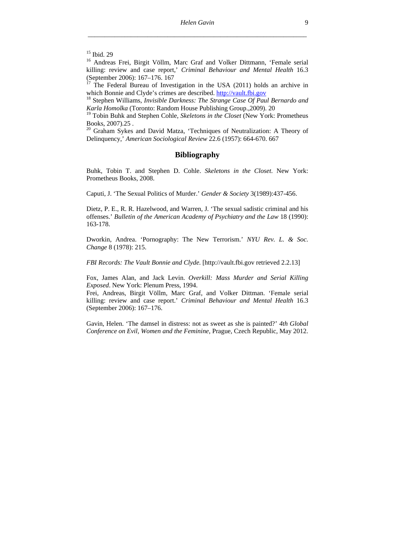<sup>16</sup> Andreas Frei, Birgit Völlm, Marc Graf and Volker Dittmann, 'Female serial killing: review and case report,' *Criminal Behaviour and Mental Health* 16.3 (September 2006): 167–176. 167

 $17$  The Federal Bureau of Investigation in the USA (2011) holds an archive in which Bonnie and Clyde's crimes are described. http://vault.fbi.gov<br><sup>18</sup> Stephen Williams, *Invisible Darkness: The Strange Case Of Paul Bernardo and* 

*Karla Homolka* (Toronto: Random House Publishing Group.,2009). 20

<sup>19</sup> Tobin Buhk and Stephen Cohle, *Skeletons in the Closet* (New York: Prometheus Books, 2007).25 .

<sup>20</sup> Graham Sykes and David Matza, 'Techniques of Neutralization: A Theory of Delinquency,' *American Sociological Review* 22.6 (1957): 664-670. 667

### **Bibliography**

Buhk, Tobin T. and Stephen D. Cohle. *Skeletons in the Closet*. New York: Prometheus Books, 2008.

Caputi, J. 'The Sexual Politics of Murder.' *Gender & Society* 3(1989):437-456.

Dietz, P. E., R. R. Hazelwood, and Warren, J. 'The sexual sadistic criminal and his offenses.' *Bulletin of the American Academy of Psychiatry and the Law* 18 (1990): 163-178.

Dworkin, Andrea. 'Pornography: The New Terrorism.' *NYU Rev. L. & Soc. Change* 8 (1978): 215.

*FBI Records: The Vault Bonnie and Clyde*. [http://vault.fbi.gov retrieved 2.2.13]

Fox, James Alan, and Jack Levin. *Overkill: Mass Murder and Serial Killing Exposed*. New York: Plenum Press, 1994.

Frei, Andreas, Birgit Völlm, Marc Graf, and Volker Dittman. 'Female serial killing: review and case report.' *Criminal Behaviour and Mental Health* 16.3 (September 2006): 167–176.

Gavin, Helen. 'The damsel in distress: not as sweet as she is painted?' *4th Global Conference on Evil, Women and the Feminine*, Prague, Czech Republic, May 2012.

 $15$  Ibid. 29